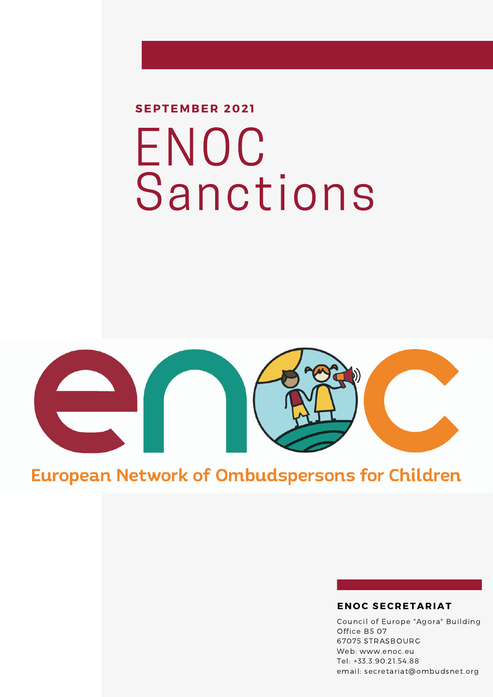# ENOC **Sanctions SEPTEMBER 2021**



### **European Network of Ombudspersons for Children**

#### **EN O C SECRETARIAT**

Council of Europe "Agora" Building Office B5 07 67075 STRASBOURG Web: www.enoc.eu Tel: +33.3.90.21.54.88 email: secretariat@ombudsnet.org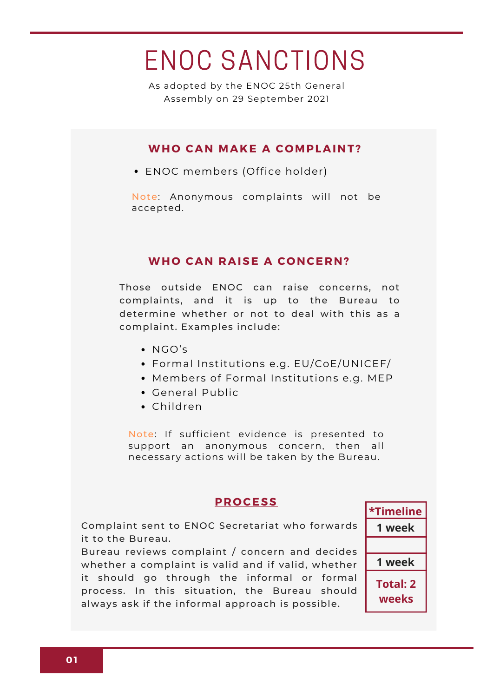## ENOC SANCTIONS

As adopted by the ENOC 25th General Assembly on 29 September 2021

#### **WH O CAN MAKE A C OMPLAINT?**

ENOC members (Office holder)

Note: Anonymous complaints will not be accepted.

#### **WHO CAN RAISE A CONCERN?**

Those outside ENOC can raise concerns, not complaints, and it is up to the Bureau to determine whether or not to deal with this as a complaint. Examples include:

- NGO's
- Formal Institutions e.g. EU/CoE/UNICEF/
- Members of Formal Institutions e.g. MEP
- General Public
- Children

Note: If sufficient evidence is presented to support an anonymous concern, then all necessary actions will be taken by the Bureau.

#### **PR O CESS**

Complaint sent to ENOC Secretariat who forwards it to the Bureau.

Bureau reviews complaint / concern and decides whether a complaint is valid and if valid, whether it should go through the informal or formal process. In this situation, the Bureau should always ask if the informal approach is possible.

**\*Timeline 1 week 1 week Total: 2 weeks**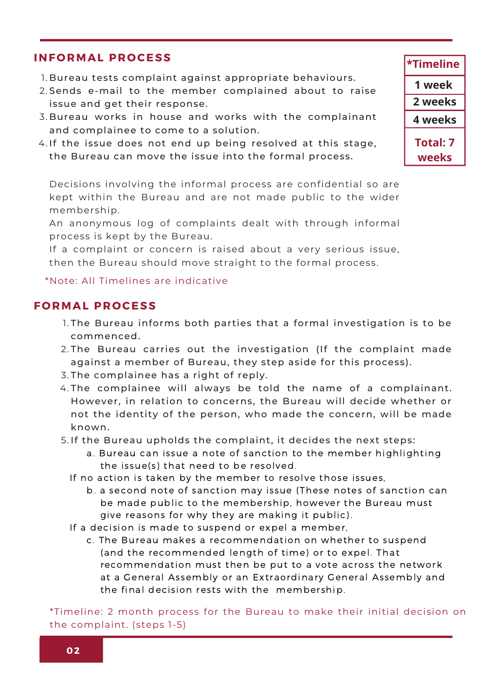#### **INF O RMAL PR O CESS**

- 1.Bureau tests complaint against appropriate behaviours.
- 2.Sends e-mail to the member complained about to raise issue and get their response.
- Bureau works in house and works with the complainant 3. and complainee to come to a solution.
- 4.If the issue does not end up being resolved at this stage, the Bureau can move the issue into the formal process.

Decisions involving the informal process are confidential so are kept within the Bureau and are not made public to the wider membership.

An anonymous log of complaints dealt with through informal process is kept by the Bureau.

If a complaint or concern is raised about a very serious issue, then the Bureau should move straight to the formal process.

#### \*Note: All Timelines are indicative

#### **F O RMAL PR O CESS**

- 1.The Bureau informs both parties that a formal investigation is to be commenced.
- 2.The Bureau carries out the investigation (If the complaint made against a member of Bureau, they step aside for this process).
- 3.The complainee has a right of reply.
- 4.The complainee will always be told the name of a complainant. However, in relation to concerns, the Bureau will decide whether or not the identity of the person, who made the concern, will be made known.
- 5. If the Bureau upholds the complaint, it decides the next steps:
	- a. Bureau can issue a note of sanction to the member highlighting the issue(s) that need to be resolved.
	- If no action is taken by the member to resolve those issues,
		- b. a second note of sanction may issue (These notes of sanction can be made public to the membership, however the Bureau must give reasons for why they are making it public).
	- If a decision is made to suspend or expel a member,
		- c. The Bureau makes a recommendation on whether to suspend (and the recommended length of time) or to expel. That recommendation must then be put to a vote across the network at a General Assembly or an Extraordinary General Assembly and the final decision rests with the membership.

\*Timeline: 2 month process for the Bureau to make their initial decision on the complaint. (steps 1-5)

**Total: 7 weeks \*Timeline 4 weeks 1 week 2 weeks**